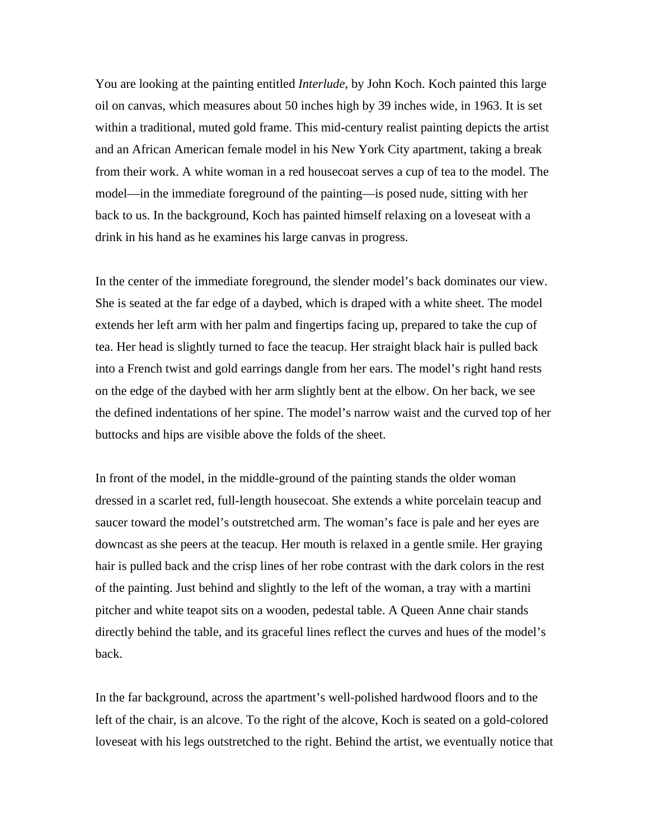You are looking at the painting entitled *Interlude*, by John Koch. Koch painted this large oil on canvas, which measures about 50 inches high by 39 inches wide, in 1963. It is set within a traditional, muted gold frame. This mid-century realist painting depicts the artist and an African American female model in his New York City apartment, taking a break from their work. A white woman in a red housecoat serves a cup of tea to the model. The model—in the immediate foreground of the painting—is posed nude, sitting with her back to us. In the background, Koch has painted himself relaxing on a loveseat with a drink in his hand as he examines his large canvas in progress.

In the center of the immediate foreground, the slender model's back dominates our view. She is seated at the far edge of a daybed, which is draped with a white sheet. The model extends her left arm with her palm and fingertips facing up, prepared to take the cup of tea. Her head is slightly turned to face the teacup. Her straight black hair is pulled back into a French twist and gold earrings dangle from her ears. The model's right hand rests on the edge of the daybed with her arm slightly bent at the elbow. On her back, we see the defined indentations of her spine. The model's narrow waist and the curved top of her buttocks and hips are visible above the folds of the sheet.

In front of the model, in the middle-ground of the painting stands the older woman dressed in a scarlet red, full-length housecoat. She extends a white porcelain teacup and saucer toward the model's outstretched arm. The woman's face is pale and her eyes are downcast as she peers at the teacup. Her mouth is relaxed in a gentle smile. Her graying hair is pulled back and the crisp lines of her robe contrast with the dark colors in the rest of the painting. Just behind and slightly to the left of the woman, a tray with a martini pitcher and white teapot sits on a wooden, pedestal table. A Queen Anne chair stands directly behind the table, and its graceful lines reflect the curves and hues of the model's back.

In the far background, across the apartment's well-polished hardwood floors and to the left of the chair, is an alcove. To the right of the alcove, Koch is seated on a gold-colored loveseat with his legs outstretched to the right. Behind the artist, we eventually notice that